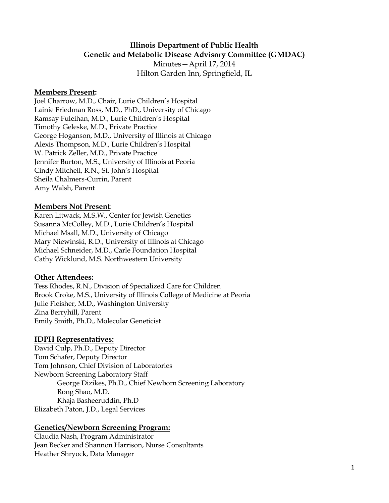# **Illinois Department of Public Health Genetic and Metabolic Disease Advisory Committee (GMDAC)**

Minutes—April 17, 2014 Hilton Garden Inn, Springfield, IL

#### **Members Present:**

Joel Charrow, M.D., Chair, Lurie Children's Hospital Lainie Friedman Ross, M.D., PhD., University of Chicago Ramsay Fuleihan, M.D., Lurie Children's Hospital Timothy Geleske, M.D., Private Practice George Hoganson, M.D., University of Illinois at Chicago Alexis Thompson, M.D., Lurie Children's Hospital W. Patrick Zeller, M.D., Private Practice Jennifer Burton, M.S., University of Illinois at Peoria Cindy Mitchell, R.N., St. John's Hospital Sheila Chalmers-Currin, Parent Amy Walsh, Parent

#### **Members Not Present**:

Karen Litwack, M.S.W., Center for Jewish Genetics Susanna McColley, M.D., Lurie Children's Hospital Michael Msall, M.D., University of Chicago Mary Niewinski, R.D., University of Illinois at Chicago Michael Schneider, M.D., Carle Foundation Hospital Cathy Wicklund, M.S. Northwestern University

### **Other Attendees:**

Tess Rhodes, R.N., Division of Specialized Care for Children Brook Croke, M.S., University of Illinois College of Medicine at Peoria Julie Fleisher, M.D., Washington University Zina Berryhill, Parent Emily Smith, Ph.D., Molecular Geneticist

### **IDPH Representatives:**

David Culp, Ph.D., Deputy Director Tom Schafer, Deputy Director Tom Johnson, Chief Division of Laboratories Newborn Screening Laboratory Staff George Dizikes, Ph.D., Chief Newborn Screening Laboratory Rong Shao, M.D. Khaja Basheeruddin, Ph.D Elizabeth Paton, J.D., Legal Services

### **Genetics/Newborn Screening Program:**

Claudia Nash, Program Administrator Jean Becker and Shannon Harrison, Nurse Consultants Heather Shryock, Data Manager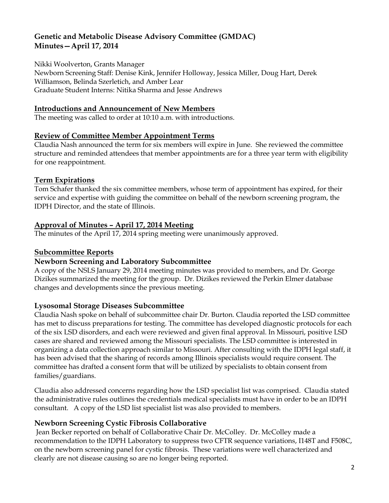Nikki Woolverton, Grants Manager

Newborn Screening Staff: Denise Kink, Jennifer Holloway, Jessica Miller, Doug Hart, Derek Williamson, Belinda Szerletich, and Amber Lear Graduate Student Interns: Nitika Sharma and Jesse Andrews

### **Introductions and Announcement of New Members**

The meeting was called to order at 10:10 a.m. with introductions.

## **Review of Committee Member Appointment Terms**

Claudia Nash announced the term for six members will expire in June. She reviewed the committee structure and reminded attendees that member appointments are for a three year term with eligibility for one reappointment.

## **Term Expirations**

Tom Schafer thanked the six committee members, whose term of appointment has expired, for their service and expertise with guiding the committee on behalf of the newborn screening program, the IDPH Director, and the state of Illinois.

## **Approval of Minutes – April 17, 2014 Meeting**

The minutes of the April 17, 2014 spring meeting were unanimously approved.

### **Subcommittee Reports**

### **Newborn Screening and Laboratory Subcommittee**

A copy of the NSLS January 29, 2014 meeting minutes was provided to members, and Dr. George Dizikes summarized the meeting for the group. Dr. Dizikes reviewed the Perkin Elmer database changes and developments since the previous meeting.

### **Lysosomal Storage Diseases Subcommittee**

Claudia Nash spoke on behalf of subcommittee chair Dr. Burton. Claudia reported the LSD committee has met to discuss preparations for testing. The committee has developed diagnostic protocols for each of the six LSD disorders, and each were reviewed and given final approval. In Missouri, positive LSD cases are shared and reviewed among the Missouri specialists. The LSD committee is interested in organizing a data collection approach similar to Missouri. After consulting with the IDPH legal staff, it has been advised that the sharing of records among Illinois specialists would require consent. The committee has drafted a consent form that will be utilized by specialists to obtain consent from families/guardians.

Claudia also addressed concerns regarding how the LSD specialist list was comprised. Claudia stated the administrative rules outlines the credentials medical specialists must have in order to be an IDPH consultant. A copy of the LSD list specialist list was also provided to members.

### **Newborn Screening Cystic Fibrosis Collaborative**

Jean Becker reported on behalf of Collaborative Chair Dr. McColley. Dr. McColley made a recommendation to the IDPH Laboratory to suppress two CFTR sequence variations, I148T and F508C, on the newborn screening panel for cystic fibrosis. These variations were well characterized and clearly are not disease causing so are no longer being reported.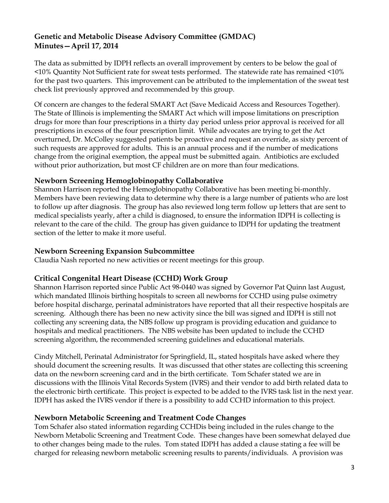The data as submitted by IDPH reflects an overall improvement by centers to be below the goal of <10% Quantity Not Sufficient rate for sweat tests performed. The statewide rate has remained <10% for the past two quarters. This improvement can be attributed to the implementation of the sweat test check list previously approved and recommended by this group.

Of concern are changes to the federal SMART Act (Save Medicaid Access and Resources Together). The State of Illinois is implementing the SMART Act which will impose limitations on prescription drugs for more than four prescriptions in a thirty day period unless prior approval is received for all prescriptions in excess of the four prescription limit. While advocates are trying to get the Act overturned, Dr. McColley suggested patients be proactive and request an override, as sixty percent of such requests are approved for adults. This is an annual process and if the number of medications change from the original exemption, the appeal must be submitted again. Antibiotics are excluded without prior authorization, but most CF children are on more than four medications.

### **Newborn Screening Hemoglobinopathy Collaborative**

Shannon Harrison reported the Hemoglobinopathy Collaborative has been meeting bi-monthly. Members have been reviewing data to determine why there is a large number of patients who are lost to follow up after diagnosis. The group has also reviewed long term follow up letters that are sent to medical specialists yearly, after a child is diagnosed, to ensure the information IDPH is collecting is relevant to the care of the child. The group has given guidance to IDPH for updating the treatment section of the letter to make it more useful.

### **Newborn Screening Expansion Subcommittee**

Claudia Nash reported no new activities or recent meetings for this group.

### **Critical Congenital Heart Disease (CCHD) Work Group**

Shannon Harrison reported since Public Act 98-0440 was signed by Governor Pat Quinn last August, which mandated Illinois birthing hospitals to screen all newborns for CCHD using pulse oximetry before hospital discharge, perinatal administrators have reported that all their respective hospitals are screening. Although there has been no new activity since the bill was signed and IDPH is still not collecting any screening data, the NBS follow up program is providing education and guidance to hospitals and medical practitioners. The NBS website has been updated to include the CCHD screening algorithm, the recommended screening guidelines and educational materials.

Cindy Mitchell, Perinatal Administrator for Springfield, IL, stated hospitals have asked where they should document the screening results. It was discussed that other states are collecting this screening data on the newborn screening card and in the birth certificate. Tom Schafer stated we are in discussions with the Illinois Vital Records System (IVRS) and their vendor to add birth related data to the electronic birth certificate. This project is expected to be added to the IVRS task list in the next year. IDPH has asked the IVRS vendor if there is a possibility to add CCHD information to this project.

### **Newborn Metabolic Screening and Treatment Code Changes**

Tom Schafer also stated information regarding CCHDis being included in the rules change to the Newborn Metabolic Screening and Treatment Code. These changes have been somewhat delayed due to other changes being made to the rules. Tom stated IDPH has added a clause stating a fee will be charged for releasing newborn metabolic screening results to parents/individuals. A provision was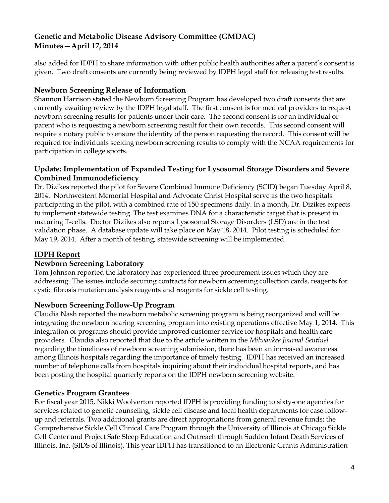also added for IDPH to share information with other public health authorities after a parent's consent is given. Two draft consents are currently being reviewed by IDPH legal staff for releasing test results.

## **Newborn Screening Release of Information**

Shannon Harrison stated the Newborn Screening Program has developed two draft consents that are currently awaiting review by the IDPH legal staff. The first consent is for medical providers to request newborn screening results for patients under their care. The second consent is for an individual or parent who is requesting a newborn screening result for their own records. This second consent will require a notary public to ensure the identity of the person requesting the record. This consent will be required for individuals seeking newborn screening results to comply with the NCAA requirements for participation in college sports.

### **Update: Implementation of Expanded Testing for Lysosomal Storage Disorders and Severe Combined Immunodeficiency**

Dr. Dizikes reported the pilot for Severe Combined Immune Deficiency (SCID) began Tuesday April 8, 2014. Northwestern Memorial Hospital and Advocate Christ Hospital serve as the two hospitals participating in the pilot, with a combined rate of 150 specimens daily. In a month, Dr. Dizikes expects to implement statewide testing. The test examines DNA for a characteristic target that is present in maturing T-cells. Doctor Dizikes also reports Lysosomal Storage Disorders (LSD) are in the test validation phase. A database update will take place on May 18, 2014. Pilot testing is scheduled for May 19, 2014. After a month of testing, statewide screening will be implemented.

## **IDPH Report**

### **Newborn Screening Laboratory**

Tom Johnson reported the laboratory has experienced three procurement issues which they are addressing. The issues include securing contracts for newborn screening collection cards, reagents for cystic fibrosis mutation analysis reagents and reagents for sickle cell testing.

### **Newborn Screening Follow-Up Program**

Claudia Nash reported the newborn metabolic screening program is being reorganized and will be integrating the newborn hearing screening program into existing operations effective May 1, 2014. This integration of programs should provide improved customer service for hospitals and health care providers. Claudia also reported that due to the article written in the *Milwaukee Journal Sentinel* regarding the timeliness of newborn screening submission, there has been an increased awareness among Illinois hospitals regarding the importance of timely testing. IDPH has received an increased number of telephone calls from hospitals inquiring about their individual hospital reports, and has been posting the hospital quarterly reports on the IDPH newborn screening website.

### **Genetics Program Grantees**

For fiscal year 2015, Nikki Woolverton reported IDPH is providing funding to sixty-one agencies for services related to genetic counseling, sickle cell disease and local health departments for case followup and referrals. Two additional grants are direct appropriations from general revenue funds; the Comprehensive Sickle Cell Clinical Care Program through the University of Illinois at Chicago Sickle Cell Center and Project Safe Sleep Education and Outreach through Sudden Infant Death Services of Illinois, Inc. (SIDS of Illinois). This year IDPH has transitioned to an Electronic Grants Administration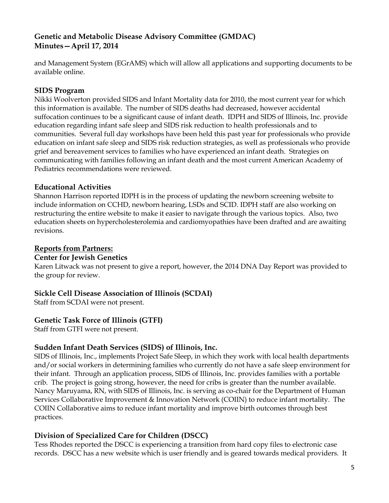and Management System (EGrAMS) which will allow all applications and supporting documents to be available online.

### **SIDS Program**

Nikki Woolverton provided SIDS and Infant Mortality data for 2010, the most current year for which this information is available. The number of SIDS deaths had decreased, however accidental suffocation continues to be a significant cause of infant death. IDPH and SIDS of Illinois, Inc. provide education regarding infant safe sleep and SIDS risk reduction to health professionals and to communities. Several full day workshops have been held this past year for professionals who provide education on infant safe sleep and SIDS risk reduction strategies, as well as professionals who provide grief and bereavement services to families who have experienced an infant death. Strategies on communicating with families following an infant death and the most current American Academy of Pediatrics recommendations were reviewed.

### **Educational Activities**

Shannon Harrison reported IDPH is in the process of updating the newborn screening website to include information on CCHD, newborn hearing, LSDs and SCID. IDPH staff are also working on restructuring the entire website to make it easier to navigate through the various topics. Also, two education sheets on hypercholesterolemia and cardiomyopathies have been drafted and are awaiting revisions.

## **Reports from Partners:**

### **Center for Jewish Genetics**

Karen Litwack was not present to give a report, however, the 2014 DNA Day Report was provided to the group for review.

# **Sickle Cell Disease Association of Illinois (SCDAI)**

Staff from SCDAI were not present.

### **Genetic Task Force of Illinois (GTFI)**

Staff from GTFI were not present.

# **Sudden Infant Death Services (SIDS) of Illinois, Inc.**

SIDS of Illinois, Inc., implements Project Safe Sleep, in which they work with local health departments and/or social workers in determining families who currently do not have a safe sleep environment for their infant. Through an application process, SIDS of Illinois, Inc. provides families with a portable crib. The project is going strong, however, the need for cribs is greater than the number available. Nancy Maruyama, RN, with SIDS of Illinois, Inc. is serving as co-chair for the Department of Human Services Collaborative Improvement & Innovation Network (COIIN) to reduce infant mortality. The COIIN Collaborative aims to reduce infant mortality and improve birth outcomes through best practices.

# **Division of Specialized Care for Children (DSCC)**

Tess Rhodes reported the DSCC is experiencing a transition from hard copy files to electronic case records. DSCC has a new website which is user friendly and is geared towards medical providers. It